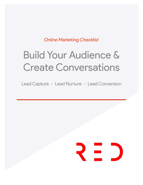*Online Marketing Checklist*

# Build Your Audience & Create Conversations

Lead Capture - Lead Nurture - Lead Conversion

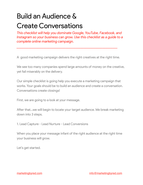# Build an Audience & Create Conversations

*This checklist will help you dominate Google, YouTube, Facebook, and Instagram so your business can grow. Use this checklist as a guide to a complete online marketing campaign.* 

A good marketing campaign delivers the right creatives at the right time.

*\_\_\_\_\_\_\_\_\_\_\_\_\_\_\_\_\_\_\_\_\_\_\_\_\_\_\_\_\_\_\_\_\_\_\_\_\_\_\_\_\_\_\_\_\_\_\_\_\_\_\_\_\_\_\_\_\_\_\_\_* 

We see too many companies spend large amounts of money on the creative, yet fail miserably on the delivery.

Our simple checklist is going help you execute a marketing campaign that works. Your goals should be to build an audience and create a conversation. Conversations create closings!

First, we are going to a look at your message.

After that...we will begin to locate your target audience. We break marketing down into 3 steps.

1. Lead Capture - Lead Nurture - Lead Conversions

When you place your message infant of the right audience at the right time your business will grow.

Let's get started.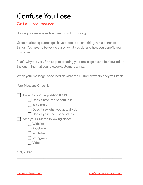#### Confuse You Lose

#### *Star with your message*

How is your message? Is is clear or is it confusing?

Great marketing campaigns have to focus on one thing, not a bunch of things. You have to be very clear on what you do, and how you beneft your customer.

That's why the very first step to creating your message has to be focused on the one thing that your viewer/customers wants.

When your message is focused on what the customer wants, they will listen.

 $\_$  , and the set of the set of the set of the set of the set of the set of the set of the set of the set of the set of the set of the set of the set of the set of the set of the set of the set of the set of the set of th

Your Message Checklist:

| <b>Unique Selling Proposition (USP)</b> |
|-----------------------------------------|
| Does it have the benefit in it?         |
| Is it simple                            |
| Does it say what you actually do        |
| Does it pass the 5 second test          |
| Place your USP the following places     |
| Website                                 |
| Facebook                                |
| YouTube                                 |
| Instagram                               |
| Video                                   |
|                                         |
| <b>YOUR USP:</b>                        |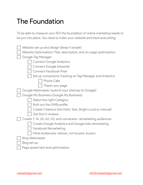### The Foundation

To be able to measure your ROI the foundation of online marketing needs to be put into place. You need to index your website and track everything

| Website set up and design (keep it simple)                         |
|--------------------------------------------------------------------|
| Website Optimization: Title, description, and on-page optimization |
| <b>Google Tag Manager</b>                                          |
| <b>Connect Google Analytics</b>                                    |
| <b>Connect Google Adwords</b>                                      |
| <b>Connect Facebook Pixel</b>                                      |
| Set up conversions Tracking on Tag Manager and Analytics           |
| <b>Phone Calls</b>                                                 |
| Thank-you-page                                                     |
| Google Webmaster (submit your sitemap to Google)                   |
| Google My Business (Google My Business)                            |
| Select the right Category                                          |
| <b>Built out the GMB profile</b>                                   |
| Create Citations (the Hoth, Yext, Bright Local or manual)          |
| Get first 5 reviews                                                |
| Create 7, 14, 30, 60, 90, and conversion remarketing audiences     |
| <b>Create Google Analytics and Google Ads remarketing</b>          |
| <b>Facebook Remarketing</b>                                        |
| More Audiences: visitors, non buyers, buyers                       |
| <b>Bing Webmaster</b>                                              |
| Blog set up                                                        |
| Page speed test and optimization                                   |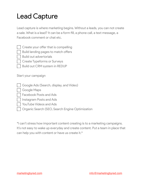# Lead Capture

Lead capture is where marketing begins. Without a leads, you can not create a sale. What is a lead? It can be a form fll, a phone call, a text message, a Facebook comment or chat etc.

|  |  |  | Create your offer that is compelling |
|--|--|--|--------------------------------------|
|  |  |  |                                      |

Build landing pages to match offers

**Build out advertorials** 

Create Typeforms or Surveys

Build out CRM system in REDUP

Start your campaign

Google Ads (Search, display, and Video)

Google Maps

Facebook Posts and Ads

Instagram Posts and Ads

YouTube Videos and Ads

Organic Search (SEO, Search Engine Optimization

\*I can't stress how important content creating is to a marketing campaigns. It's not easy to wake up everyday and create content. Put a team in place that can help you with content or have us create it.\*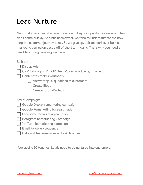#### **Lead Nurture**

New customers can take time to decide to buy your product or service. They don't come quickly. As a business owner, we tend to underestimate the how long the customer journey takes. So we give up, quit too earlier, or built a marketing campaign based off of short term gains. That's why you need a Lead Nurturing campaign in place.

Built out:

- **Display Ads** 
	- CRM followup in REDUP (Text, Voice Broadcasts, Email etc)
- Content to establish authority
	- Answer top 10 questions of customers
	- Create Blogs
	- Create Tutorial Videos

**Start Campaigns:** 

- Google Display remarketing campaign
- Google Remarketing for search ads
- Facebook Remarketing campaign
- Instagram Remarketing Campaign
- YouTube Remarketing campaign
- Email Follow up sequence
- Calls and Text messages (6 to 20 touches)

Your goal is 20 touches. Leads need to be nurtured into customers.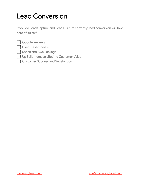## Lead Conversion

If you do Lead Capture and Lead Nurture correctly, lead conversion will take care of its self.

| Ť |  |
|---|--|
|   |  |
|   |  |
| m |  |
|   |  |

Google Reviews

**Client Testimonials** 

Shock and Awe Package

Up Sells Increase Lifetime Customer Value

**Customer Success and Satisfaction**